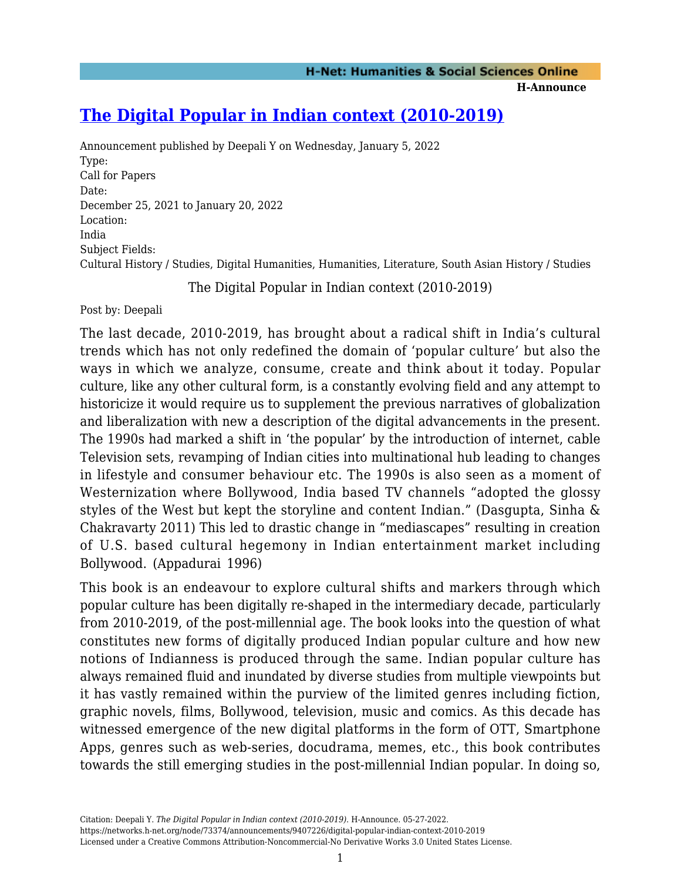**H-Announce** 

# **[The Digital Popular in Indian context \(2010-2019\)](https://networks.h-net.org/node/73374/announcements/9407226/digital-popular-indian-context-2010-2019)**

Announcement published by Deepali Y on Wednesday, January 5, 2022 Type: Call for Papers Date: December 25, 2021 to January 20, 2022 Location: India Subject Fields: Cultural History / Studies, Digital Humanities, Humanities, Literature, South Asian History / Studies

The Digital Popular in Indian context (2010-2019)

Post by: Deepali

The last decade, 2010-2019, has brought about a radical shift in India's cultural trends which has not only redefined the domain of 'popular culture' but also the ways in which we analyze, consume, create and think about it today. Popular culture, like any other cultural form, is a constantly evolving field and any attempt to historicize it would require us to supplement the previous narratives of globalization and liberalization with new a description of the digital advancements in the present. The 1990s had marked a shift in 'the popular' by the introduction of internet, cable Television sets, revamping of Indian cities into multinational hub leading to changes in lifestyle and consumer behaviour etc. The 1990s is also seen as a moment of Westernization where Bollywood, India based TV channels "adopted the glossy styles of the West but kept the storyline and content Indian." (Dasgupta, Sinha & Chakravarty 2011) This led to drastic change in "mediascapes" resulting in creation of U.S. based cultural hegemony in Indian entertainment market including Bollywood. (Appadurai 1996)

This book is an endeavour to explore cultural shifts and markers through which popular culture has been digitally re-shaped in the intermediary decade, particularly from 2010-2019, of the post-millennial age. The book looks into the question of what constitutes new forms of digitally produced Indian popular culture and how new notions of Indianness is produced through the same. Indian popular culture has always remained fluid and inundated by diverse studies from multiple viewpoints but it has vastly remained within the purview of the limited genres including fiction, graphic novels, films, Bollywood, television, music and comics. As this decade has witnessed emergence of the new digital platforms in the form of OTT, Smartphone Apps, genres such as web-series, docudrama, memes, etc., this book contributes towards the still emerging studies in the post-millennial Indian popular. In doing so,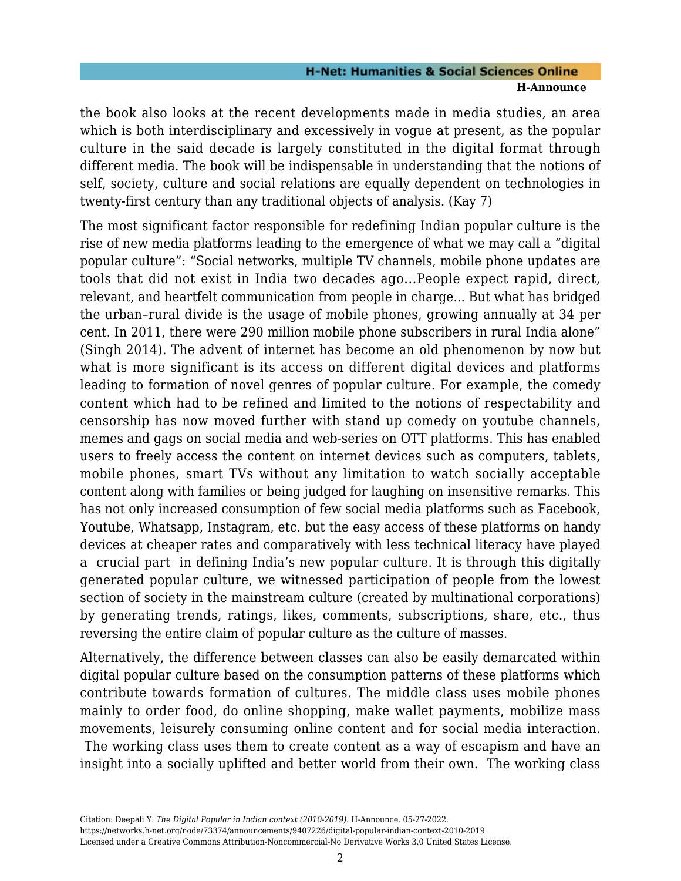the book also looks at the recent developments made in media studies, an area which is both interdisciplinary and excessively in vogue at present, as the popular culture in the said decade is largely constituted in the digital format through different media. The book will be indispensable in understanding that the notions of self, society, culture and social relations are equally dependent on technologies in twenty-first century than any traditional objects of analysis. (Kay 7)

The most significant factor responsible for redefining Indian popular culture is the rise of new media platforms leading to the emergence of what we may call a "digital popular culture": "Social networks, multiple TV channels, mobile phone updates are tools that did not exist in India two decades ago...People expect rapid, direct, relevant, and heartfelt communication from people in charge... But what has bridged the urban–rural divide is the usage of mobile phones, growing annually at 34 per cent. In 2011, there were 290 million mobile phone subscribers in rural India alone" (Singh 2014). The advent of internet has become an old phenomenon by now but what is more significant is its access on different digital devices and platforms leading to formation of novel genres of popular culture. For example, the comedy content which had to be refined and limited to the notions of respectability and censorship has now moved further with stand up comedy on youtube channels, memes and gags on social media and web-series on OTT platforms. This has enabled users to freely access the content on internet devices such as computers, tablets, mobile phones, smart TVs without any limitation to watch socially acceptable content along with families or being judged for laughing on insensitive remarks. This has not only increased consumption of few social media platforms such as Facebook, Youtube, Whatsapp, Instagram, etc. but the easy access of these platforms on handy devices at cheaper rates and comparatively with less technical literacy have played a crucial part in defining India's new popular culture. It is through this digitally generated popular culture, we witnessed participation of people from the lowest section of society in the mainstream culture (created by multinational corporations) by generating trends, ratings, likes, comments, subscriptions, share, etc., thus reversing the entire claim of popular culture as the culture of masses.

Alternatively, the difference between classes can also be easily demarcated within digital popular culture based on the consumption patterns of these platforms which contribute towards formation of cultures. The middle class uses mobile phones mainly to order food, do online shopping, make wallet payments, mobilize mass movements, leisurely consuming online content and for social media interaction. The working class uses them to create content as a way of escapism and have an insight into a socially uplifted and better world from their own. The working class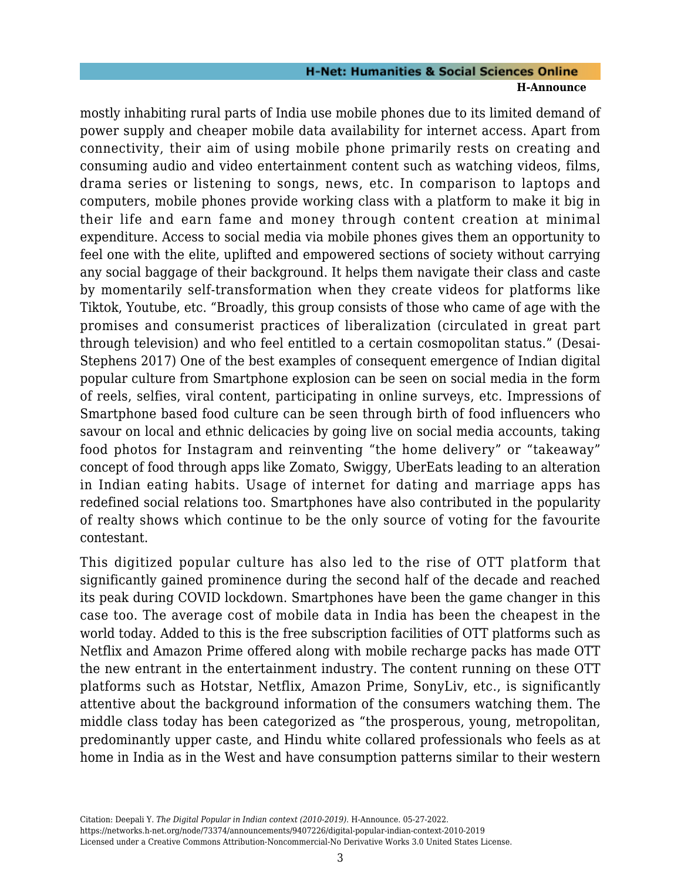mostly inhabiting rural parts of India use mobile phones due to its limited demand of power supply and cheaper mobile data availability for internet access. Apart from connectivity, their aim of using mobile phone primarily rests on creating and consuming audio and video entertainment content such as watching videos, films, drama series or listening to songs, news, etc. In comparison to laptops and computers, mobile phones provide working class with a platform to make it big in their life and earn fame and money through content creation at minimal expenditure. Access to social media via mobile phones gives them an opportunity to feel one with the elite, uplifted and empowered sections of society without carrying any social baggage of their background. It helps them navigate their class and caste by momentarily self-transformation when they create videos for platforms like Tiktok, Youtube, etc. "Broadly, this group consists of those who came of age with the promises and consumerist practices of liberalization (circulated in great part through television) and who feel entitled to a certain cosmopolitan status." (Desai-Stephens 2017) One of the best examples of consequent emergence of Indian digital popular culture from Smartphone explosion can be seen on social media in the form of reels, selfies, viral content, participating in online surveys, etc. Impressions of Smartphone based food culture can be seen through birth of food influencers who savour on local and ethnic delicacies by going live on social media accounts, taking food photos for Instagram and reinventing "the home delivery" or "takeaway" concept of food through apps like Zomato, Swiggy, UberEats leading to an alteration in Indian eating habits. Usage of internet for dating and marriage apps has redefined social relations too. Smartphones have also contributed in the popularity of realty shows which continue to be the only source of voting for the favourite contestant.

This digitized popular culture has also led to the rise of OTT platform that significantly gained prominence during the second half of the decade and reached its peak during COVID lockdown. Smartphones have been the game changer in this case too. The average cost of mobile data in India has been the cheapest in the world today. Added to this is the free subscription facilities of OTT platforms such as Netflix and Amazon Prime offered along with mobile recharge packs has made OTT the new entrant in the entertainment industry. The content running on these OTT platforms such as Hotstar, Netflix, Amazon Prime, SonyLiv, etc., is significantly attentive about the background information of the consumers watching them. The middle class today has been categorized as "the prosperous, young, metropolitan, predominantly upper caste, and Hindu white collared professionals who feels as at home in India as in the West and have consumption patterns similar to their western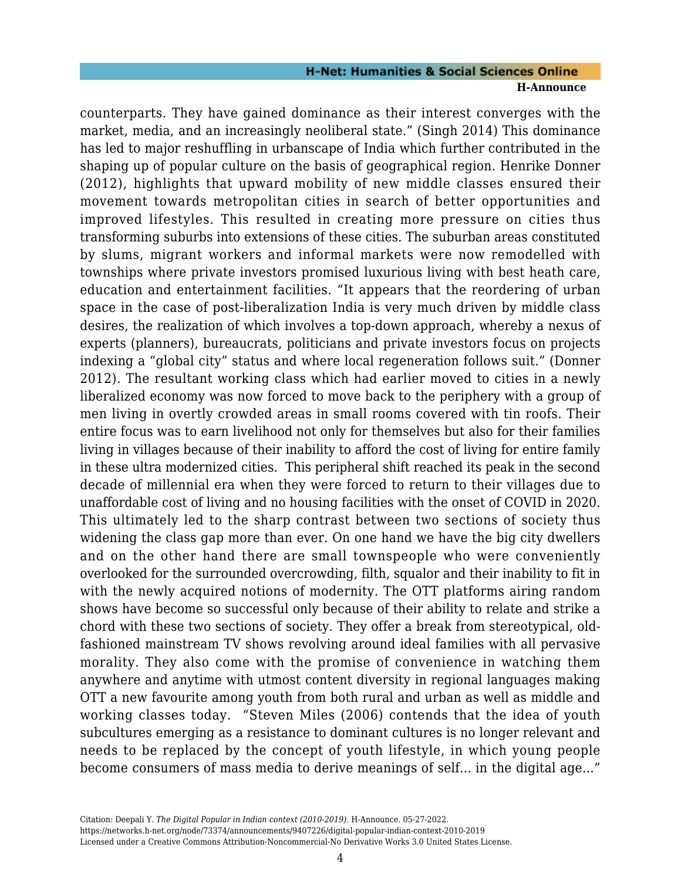counterparts. They have gained dominance as their interest converges with the market, media, and an increasingly neoliberal state." (Singh 2014) This dominance has led to major reshuffling in urbanscape of India which further contributed in the shaping up of popular culture on the basis of geographical region. Henrike Donner (2012), highlights that upward mobility of new middle classes ensured their movement towards metropolitan cities in search of better opportunities and improved lifestyles. This resulted in creating more pressure on cities thus transforming suburbs into extensions of these cities. The suburban areas constituted by slums, migrant workers and informal markets were now remodelled with townships where private investors promised luxurious living with best heath care, education and entertainment facilities. "It appears that the reordering of urban space in the case of post-liberalization India is very much driven by middle class desires, the realization of which involves a top-down approach, whereby a nexus of experts (planners), bureaucrats, politicians and private investors focus on projects indexing a "global city" status and where local regeneration follows suit." (Donner 2012). The resultant working class which had earlier moved to cities in a newly liberalized economy was now forced to move back to the periphery with a group of men living in overtly crowded areas in small rooms covered with tin roofs. Their entire focus was to earn livelihood not only for themselves but also for their families living in villages because of their inability to afford the cost of living for entire family in these ultra modernized cities. This peripheral shift reached its peak in the second decade of millennial era when they were forced to return to their villages due to unaffordable cost of living and no housing facilities with the onset of COVID in 2020. This ultimately led to the sharp contrast between two sections of society thus widening the class gap more than ever. On one hand we have the big city dwellers and on the other hand there are small townspeople who were conveniently overlooked for the surrounded overcrowding, filth, squalor and their inability to fit in with the newly acquired notions of modernity. The OTT platforms airing random shows have become so successful only because of their ability to relate and strike a chord with these two sections of society. They offer a break from stereotypical, oldfashioned mainstream TV shows revolving around ideal families with all pervasive morality. They also come with the promise of convenience in watching them anywhere and anytime with utmost content diversity in regional languages making OTT a new favourite among youth from both rural and urban as well as middle and working classes today. "Steven Miles (2006) contends that the idea of youth subcultures emerging as a resistance to dominant cultures is no longer relevant and needs to be replaced by the concept of youth lifestyle, in which young people become consumers of mass media to derive meanings of self... in the digital age..."